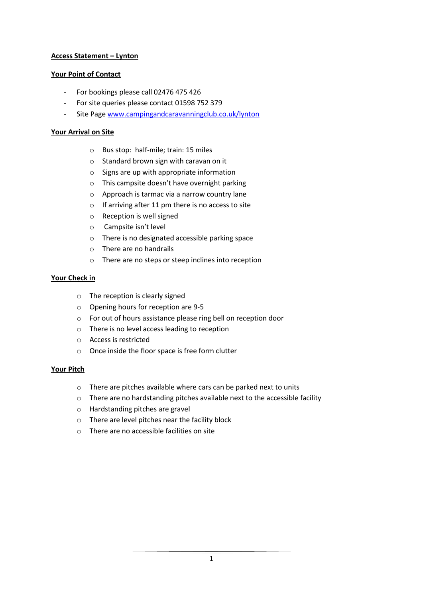# **Access Statement – Lynton**

# **Your Point of Contact**

- For bookings please call 02476 475 426
- For site queries please contact 01598 752 379
- Site Page [www.campingandcaravanningclub.co.uk/lynton](http://www.campingandcaravanningclub.co.uk/lynton)

# **Your Arrival on Site**

- o Bus stop: half-mile; train: 15 miles
- o Standard brown sign with caravan on it
- o Signs are up with appropriate information
- o This campsite doesn't have overnight parking
- o Approach is tarmac via a narrow country lane
- o If arriving after 11 pm there is no access to site
- o Reception is well signed
- o Campsite isn't level
- o There is no designated accessible parking space
- o There are no handrails
- o There are no steps or steep inclines into reception

# **Your Check in**

- o The reception is clearly signed
- o Opening hours for reception are 9-5
- o For out of hours assistance please ring bell on reception door
- o There is no level access leading to reception
- o Access is restricted
- o Once inside the floor space is free form clutter

#### **Your Pitch**

- o There are pitches available where cars can be parked next to units
- o There are no hardstanding pitches available next to the accessible facility
- o Hardstanding pitches are gravel
- o There are level pitches near the facility block
- o There are no accessible facilities on site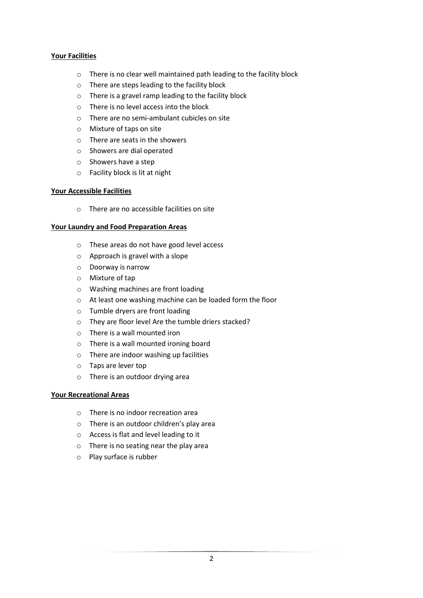# **Your Facilities**

- o There is no clear well maintained path leading to the facility block
- o There are steps leading to the facility block
- o There is a gravel ramp leading to the facility block
- o There is no level access into the block
- o There are no semi-ambulant cubicles on site
- o Mixture of taps on site
- o There are seats in the showers
- o Showers are dial operated
- o Showers have a step
- o Facility block is lit at night

#### **Your Accessible Facilities**

o There are no accessible facilities on site

#### **Your Laundry and Food Preparation Areas**

- o These areas do not have good level access
- o Approach is gravel with a slope
- o Doorway is narrow
- o Mixture of tap
- o Washing machines are front loading
- o At least one washing machine can be loaded form the floor
- o Tumble dryers are front loading
- o They are floor level Are the tumble driers stacked?
- o There is a wall mounted iron
- o There is a wall mounted ironing board
- o There are indoor washing up facilities
- o Taps are lever top
- o There is an outdoor drying area

#### **Your Recreational Areas**

- o There is no indoor recreation area
- o There is an outdoor children's play area
- o Access is flat and level leading to it
- o There is no seating near the play area
- o Play surface is rubber